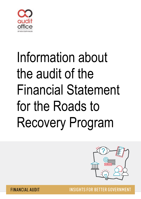

# Information about the audit of the Financial Statement for the Roads to Recovery Program



**INSIGHTS FOR BETTER GOVERNMENT** 

**FINANCIAL AUDIT**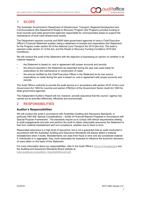

## **1 SCOPE**

The Australian Government's Department of Infrastructure, Transport, Regional Development and Communications (the Department) Roads to Recovery Program (the Program) provides funding to local councils (and state government agencies responsible for unincorporated areas) to support the maintenance of local road infrastructure assets.

The Department requires councils and NSW state government agencies to have a Chief Executive Officer's Financial Statement audited, being a statement of receipts and expenditure (the Statement) for the Program under section 90 of the *National Land Transport Act 2014* (the Act). The audit is required under section 41 of the Act, and the *Roads to Recovery Funding Conditions 2019* (the Conditions).

We will conduct the audit of the Statement with the objective of expressing an opinion on whether in all material respects:

- the Statement is based on, and in agreement with proper accounts and records
- the amount reported in the Statement as expended during the year was used solely for expenditure on the maintenance or construction of roads
- the amount certified by the Chief Executive Officer in the Statement as its own source expenditure on roads during the year is based on, and in agreement with proper accounts and records.

The Audit Office's authority to provide the audit service is in accordance with section 421E of the *Local Government Act 1993* for councils and section 27B(3)(c) of the *Government Sector Audit Act 1983* for state government agencies.

The Independent Auditor's Report will not, however, provide assurance that the council / agency has carried out its activities effectively, efficiently and economically.

#### **2 RESPONSIBILITIES**

#### **Auditor's Responsibilities**

We will conduct the audit in accordance with Australian Auditing and Assurance Standards, in particular ASA 800 'Special Considerations – Audits of Financial Reports Prepared in Accordance with Special Purpose Frameworks'. The standards require us to comply with ethical requirements relating to audit engagements and plan and perform the audit to obtain reasonable assurance the Statement is free from material misstatement and non-compliance, whether due to fraud or error.

Reasonable assurance is a high level of assurance, but is not a guarantee that an audit conducted in accordance with the Australian Auditing and Assurance Standards will always detect a material misstatement when it exists. Misstatements can arise from fraud or error and are considered material if, individually or in aggregate, they could reasonably be expected to influence the economic decisions of users taken on the basis of this Statement.

For more information about our responsibilities, refer to the Audit Office's [Terms of Engagement](https://www.audit.nsw.gov.au/our-stakeholders/local-government) and the Auditing and Assurance Standards Board website at [www.auasb.gov.au/auditors\\_responsibilities/ar8.pdf.](http://www.auasb.gov.au/auditors_responsibilities/ar8.pdf)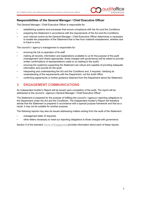

#### **Responsibilities of the General Manager / Chief Executive Officer**

The General Manager / Chief Executive Officer is responsible for:

- establishing systems and processes that ensure compliance with the Act and the Conditions
- preparing the Statement in accordance with the requirements of the Act and the Conditions
- such internal control as the General Manager / Chief Executive Officer determines is necessary to enable the preparation of the Statement that is free from material misstatement, whether due to fraud or error.

The council's / agency's management is responsible for:

- ensuring the full co-operation of its staff
- making all records, information and explanations available to us for the purpose of the audit (management (and where appropriate, those charged with governance) will be asked to provide written confirmations of representations made to us relating to the audit)
- ensuring the system(s) supporting the Statement are robust and capable of providing adequate information and records for the audit
- interpreting and understanding the Act and the Conditions and, if required, clarifying its understanding of the requirements with the Department, not the Audit Office
- confirming agreements or further guidance obtained from the Department about the Statement.

### **3 ENGAGEMENT COMMUNICATIONS**

An Independent Auditor's Report will be issued upon completion of the audit. The report will be addressed to the council's / agency's General Manager / Chief Executive Officer.

The Statement is prepared for the purpose of fulfilling the council's / agency's reporting obligations to the Department under the Act and the Conditions. The Independent Auditor's Report will therefore advise that the Statement is prepared in accordance with a special purpose framework and that as a result, it may not be suitable for another purpose.

The following reports may also be issued addressing matters arising from the audit of the Statement:

- management letter (if required)
- other letters necessary to meet our reporting obligations to those charged with governance.

Section 5 of the standard [Terms of Engagement](https://www.audit.nsw.gov.au/our-stakeholders/local-government) provides information about each of these reports.